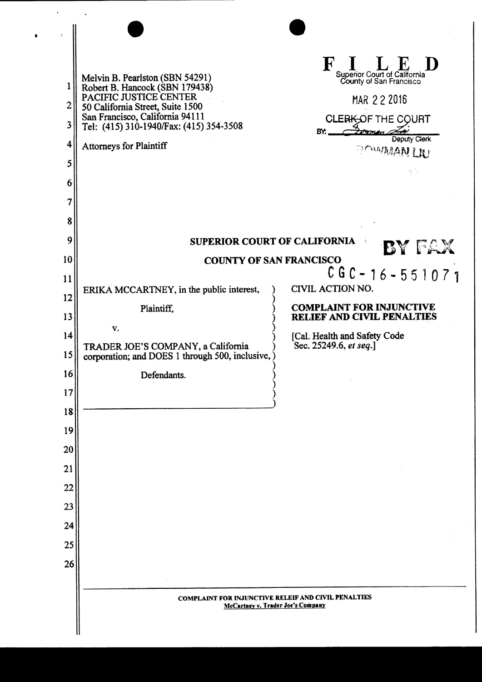| $\overline{2}$<br>3<br>4<br>5<br>6<br>7                                                      | Melvin B. Pearlston (SBN 54291)<br>Robert B. Hancock (SBN 179438)<br>PACIFIC JUSTICE CENTER<br>50 California Street, Suite 1500<br>San Francisco, California 94111<br>Tel: (415) 310-1940/Fax: (415) 354-3508<br><b>Attorneys for Plaintiff</b> | F I L E D<br>Superior Court of California<br>County of San Francisco<br>MAR 22 2016<br>CLERK OF THE COURT<br>Formen<br>BY.<br>Deputy Clerk<br><b>BOWMAN LIU</b>           |  |  |
|----------------------------------------------------------------------------------------------|-------------------------------------------------------------------------------------------------------------------------------------------------------------------------------------------------------------------------------------------------|---------------------------------------------------------------------------------------------------------------------------------------------------------------------------|--|--|
| 8<br>9                                                                                       |                                                                                                                                                                                                                                                 |                                                                                                                                                                           |  |  |
| 10                                                                                           | <b>SUPERIOR COURT OF CALIFORNIA</b><br>BY FAX<br><b>COUNTY OF SAN FRANCISCO</b>                                                                                                                                                                 |                                                                                                                                                                           |  |  |
| 11<br>12<br>13<br>14<br>15<br>16<br>17<br>18<br>19<br>20<br>21<br>22<br>23<br>24<br>25<br>26 | ERIKA MCCARTNEY, in the public interest,<br>Plaintiff,<br>V.<br>TRADER JOE'S COMPANY, a California<br>corporation; and DOES 1 through 500, inclusive,<br>Defendants.                                                                            | $CGC - 16 - 551071$<br>CIVIL ACTION NO.<br><b>COMPLAINT FOR INJUNCTIVE</b><br><b>RELIEF AND CIVIL PENALTIES</b><br>[Cal. Health and Safety Code<br>Sec. 25249.6, et seq.] |  |  |
|                                                                                              | <b>COMPLAINT FOR INJUNCTIVE RELEIF AND CIVIL PENALTIES</b><br>McCartney v. Trader Joe's Company                                                                                                                                                 |                                                                                                                                                                           |  |  |
|                                                                                              |                                                                                                                                                                                                                                                 |                                                                                                                                                                           |  |  |

 $\hat{\boldsymbol{\epsilon}}$ 

 $\ddot{\phantom{1}}$ 

 $\mathbb{R}^2$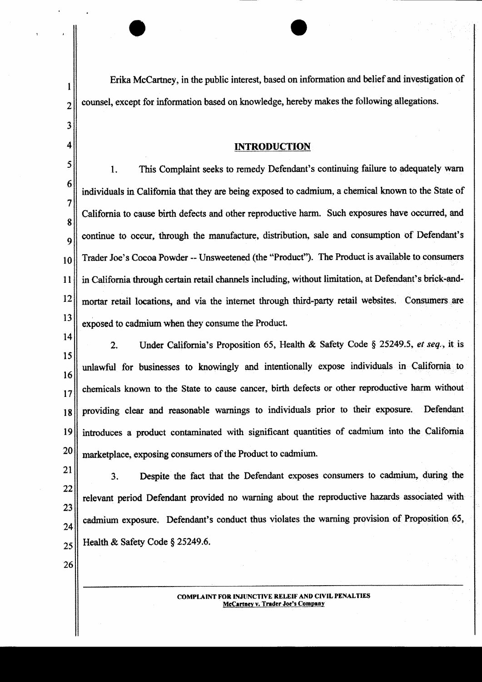Erika McCartney, in the public interest, based on information and belief and investigation of counsel, except for information based on knowledge, hereby makes the following allegations.

## **INTRODUCTION**

5 1. This Complaint seeks to remedy Defendant's continuing failure to adequately warn 6 individuals in California that they are being exposed to cadmium, a chemical known to the State of 7 California to cause birth defects and other reproductive harm. Such exposures have occurred, and 8 continue to occur, through the manufacture, distribution, sale and consumption of Defendant's 9 Trader Joe's Cocoa Powder -- Unsweetened (the "Product"). The Product is available to consumers 10 in California through certain retail channels including, without limitation, at Defendant's brick-and-11 12 mortar retail locations, and via the internet through third-party retail websites. Consumers are 13 exposed to cadmium when they consume the Product.

14

1

 $\overline{2}$ 

3

4

Under California's Proposition 65, Health & Safety Code § 25249.5, et sea., it is  $2.$ 15 unlawful for businesses to knowingly and intentionally expose individuals in California to 16 chemicals known to the State to cause cancer, birth defects or other reproductive harm without 17 providing clear and reasonable warnings to individuals prior to their exposure. Defendant 18 introduces a product contaminated with significant quantities of cadmium into the California 19 20 marketplace, exposing consumers of the Product to cadmium.

21 Despite the fact that the Defendant exposes consumers to cadmium, during the  $3.$ 22 relevant period Defendant provided no warning about the reproductive hazards associated with 23 cadmium exposure. Defendant's conduct thus violates the warning provision of Proposition 65, 24 Health & Safety Code § 25249.6. 25

26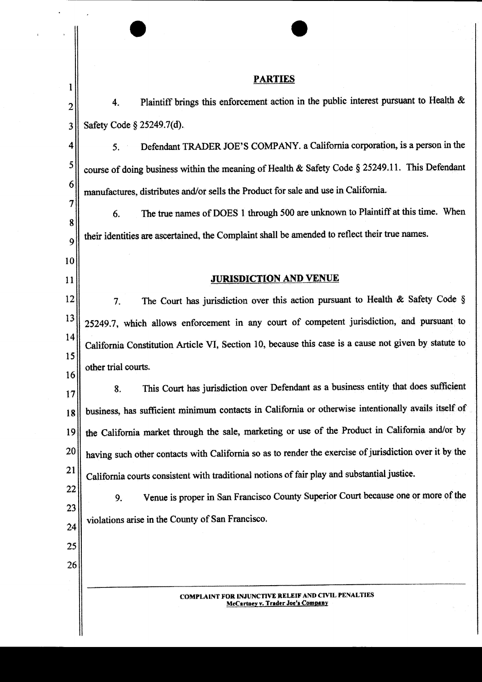|                     | <b>PARTIES</b>                                                                                         |  |  |
|---------------------|--------------------------------------------------------------------------------------------------------|--|--|
| 1<br>$\overline{2}$ | Plaintiff brings this enforcement action in the public interest pursuant to Health &<br>4.             |  |  |
| 3                   | Safety Code § 25249.7(d).                                                                              |  |  |
| 4                   | Defendant TRADER JOE'S COMPANY. a California corporation, is a person in the<br>5.                     |  |  |
| 5                   | course of doing business within the meaning of Health & Safety Code § 25249.11. This Defendant         |  |  |
| 6                   | manufactures, distributes and/or sells the Product for sale and use in California.                     |  |  |
| 7                   | The true names of DOES 1 through 500 are unknown to Plaintiff at this time. When<br>6.                 |  |  |
| 8<br>9              | their identities are ascertained, the Complaint shall be amended to reflect their true names.          |  |  |
| 10                  |                                                                                                        |  |  |
| 11                  | <b>JURISDICTION AND VENUE</b>                                                                          |  |  |
| 12                  | The Court has jurisdiction over this action pursuant to Health & Safety Code $\S$<br>7.                |  |  |
| 13                  | 25249.7, which allows enforcement in any court of competent jurisdiction, and pursuant to              |  |  |
| 14                  | California Constitution Article VI, Section 10, because this case is a cause not given by statute to   |  |  |
| 15                  | other trial courts.                                                                                    |  |  |
| 16<br>17            | This Court has jurisdiction over Defendant as a business entity that does sufficient<br>8.             |  |  |
| 18                  | business, has sufficient minimum contacts in California or otherwise intentionally avails itself of    |  |  |
| 19                  | the California market through the sale, marketing or use of the Product in California and/or by        |  |  |
| 20                  | having such other contacts with California so as to render the exercise of jurisdiction over it by the |  |  |
| 21                  | California courts consistent with traditional notions of fair play and substantial justice.            |  |  |
| 22                  | Venue is proper in San Francisco County Superior Court because one or more of the<br>9.                |  |  |
| 23<br>24            | violations arise in the County of San Francisco.                                                       |  |  |
| 25                  |                                                                                                        |  |  |
| 26                  |                                                                                                        |  |  |
|                     |                                                                                                        |  |  |
|                     | <b>COMPLAINT FOR INJUNCTIVE RELEIF AND CIVIL PENALTIES</b><br>McCartney v. Trader Joe's Company        |  |  |
|                     |                                                                                                        |  |  |

 $\epsilon_{\rm{max}}$ 

 $\hat{\mathcal{A}}$ 

 $\mathbf{r}$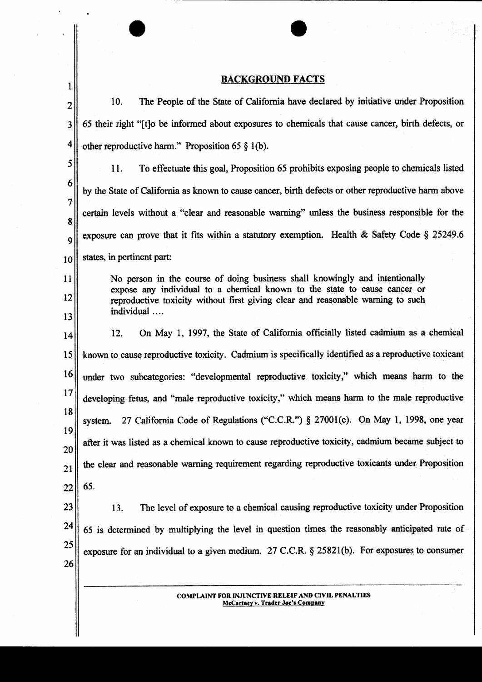## **BACKGROUND FACTS**

 $\sim$   $\bullet$ 

 $\mathbf{r}$ 

 $\mathbf{1}$ 

| $\overline{2}$        | The People of the State of California have declared by initiative under Proposition<br>10.                                                                   |  |
|-----------------------|--------------------------------------------------------------------------------------------------------------------------------------------------------------|--|
| 3                     | 65 their right "[t]o be informed about exposures to chemicals that cause cancer, birth defects, or                                                           |  |
| 4                     | other reproductive harm." Proposition 65 $\S$ 1(b).                                                                                                          |  |
| 5                     | 11.<br>To effectuate this goal, Proposition 65 prohibits exposing people to chemicals listed                                                                 |  |
| 6                     | by the State of California as known to cause cancer, birth defects or other reproductive harm above                                                          |  |
| 7                     | certain levels without a "clear and reasonable warning" unless the business responsible for the                                                              |  |
| 8<br>9                | exposure can prove that it fits within a statutory exemption. Health & Safety Code $\S$ 25249.6                                                              |  |
| 10                    | states, in pertinent part:                                                                                                                                   |  |
| 11                    | No person in the course of doing business shall knowingly and intentionally                                                                                  |  |
| 12 <sup>°</sup>       | expose any individual to a chemical known to the state to cause cancer or<br>reproductive toxicity without first giving clear and reasonable warning to such |  |
| 13                    | individual                                                                                                                                                   |  |
| 14                    | On May 1, 1997, the State of California officially listed cadmium as a chemical<br>12.                                                                       |  |
| 15 <sub>2</sub>       | known to cause reproductive toxicity. Cadmium is specifically identified as a reproductive toxicant                                                          |  |
| 16                    | under two subcategories: "developmental reproductive toxicity," which means harm to the                                                                      |  |
| 17                    | developing fetus, and "male reproductive toxicity," which means harm to the male reproductive                                                                |  |
| 18                    | 27 California Code of Regulations ("C.C.R.") § 27001(c). On May 1, 1998, one year<br>system.                                                                 |  |
| 19<br>20 <sub>1</sub> | after it was listed as a chemical known to cause reproductive toxicity, cadmium became subject to                                                            |  |
| 21                    | the clear and reasonable warning requirement regarding reproductive toxicants under Proposition                                                              |  |
| 22                    | 65.                                                                                                                                                          |  |
| 23                    | The level of exposure to a chemical causing reproductive toxicity under Proposition<br>13.                                                                   |  |
| 24                    | 65 is determined by multiplying the level in question times the reasonably anticipated rate of                                                               |  |
| 25                    | exposure for an individual to a given medium. 27 C.C.R. $\S$ 25821(b). For exposures to consumer                                                             |  |
| 26                    |                                                                                                                                                              |  |
|                       |                                                                                                                                                              |  |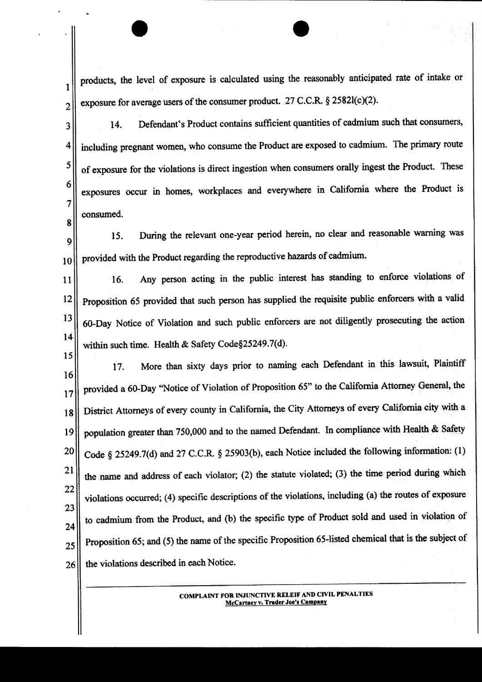products, the level of exposure is calculated using the reasonably anticipated rate of intake or exposure for average users of the consumer product. 27 C.C.R. § 2582l(c)(2).

 $\mathbf{1}$ 

 $\overline{2}$ 

Defendant's Product contains sufficient quantities of cadmium such that consumers,  $14.$ 3 including pregnant women, who consume the Product are exposed to cadmium. The primary route 4 5 of exposure for the violations is direct ingestion when consumers orally ingest the Product. These 6 exposures occur in homes, workplaces and everywhere in California where the Product is 7 consumed. 8

During the relevant one-year period herein, no clear and reasonable warning was 15. 9 provided with the Product regarding the reproductive hazards of cadmium. 10

Any person acting in the public interest has standing to enforce violations of 16.  $11$ Proposition 65 provided that such person has supplied the requisite public enforcers with a valid  $12$ 13 60-Day Notice of Violation and such public enforcers are not diligently prosecuting the action 14 within such time. Health & Safety Code§25249.7(d).

15 More than sixty days prior to naming each Defendant in this lawsuit, Plaintiff 17. 16 provided a 60-Day "Notice of Violation of Proposition 65" to the California Attorney General, the 17 District Attorneys of every county in California, the City Attorneys of every California city with a 18 population greater than 750,000 and to the named Defendant. In compliance with Health & Safety 19 Code § 25249.7(d) and 27 C.C.R. § 25903(b), each Notice included the following information: (1) 20 21 the name and address of each violator; (2) the statute violated; (3) the time period during which 22 violations occurred; (4) specific descriptions of the violations, including (a) the routes of exposure 23 to cadmium from the Product, and (b) the specific type of Product sold and used in violation of 24 Proposition 65; and (5) the name of the specific Proposition 65-listed chemical that is the subject of 25 the violations described in each Notice. 26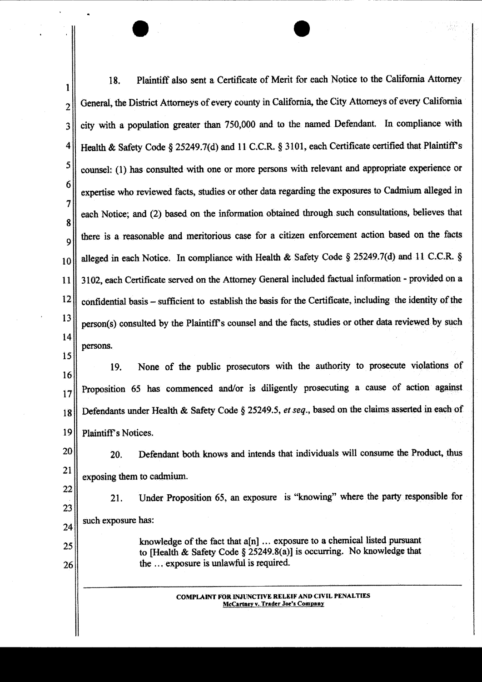Plaintiff also sent a Certificate of Merit for each Notice to the California Attorney 18. 1 General, the District Attorneys of every county in California, the City Attorneys of every California  $\overline{2}$ city with a population greater than 750,000 and to the named Defendant. In compliance with  $\overline{3}$ Health & Safety Code § 25249.7(d) and 11 C.C.R. § 3101, each Certificate certified that Plaintiff's  $\overline{\mathbf{4}}$ 5 counsel: (1) has consulted with one or more persons with relevant and appropriate experience or 6 expertise who reviewed facts, studies or other data regarding the exposures to Cadmium alleged in 7 each Notice; and (2) based on the information obtained through such consultations, believes that 8 there is a reasonable and meritorious case for a citizen enforcement action based on the facts  $\mathbf Q$ alleged in each Notice. In compliance with Health & Safety Code § 25249.7(d) and 11 C.C.R. § 10 3102, each Certificate served on the Attorney General included factual information - provided on a 11  $12$ confidential basis – sufficient to establish the basis for the Certificate, including the identity of the 13 person(s) consulted by the Plaintiff's counsel and the facts, studies or other data reviewed by such 14 persons.  $15$ None of the public prosecutors with the authority to prosecute violations of 19.

16 Proposition 65 has commenced and/or is diligently prosecuting a cause of action against  $17$ Defendants under Health & Safety Code § 25249.5, et seq., based on the claims asserted in each of 18 19 Plaintiff's Notices.

20 Defendant both knows and intends that individuals will consume the Product, thus 20. 21 exposing them to cadmium.

22 Under Proposition 65, an exposure is "knowing" where the party responsible for 21. 23 such exposure has:  $24$ 

> knowledge of the fact that a[n] ... exposure to a chemical listed pursuant to [Health & Safety Code § 25249.8(a)] is occurring. No knowledge that the ... exposure is unlawful is required.

> > **COMPLAINT FOR INJUNCTIVE RELEIF AND CIVIL PENALTIES** McCartney v. Trader Joe's Company

25

26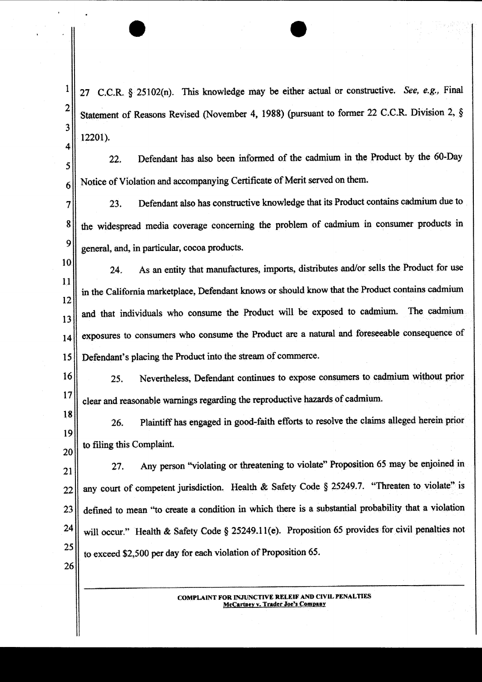$\mathbf{1}$ 27 C.C.R. § 25102(n). This knowledge may be either actual or constructive. See, e.g., Final  $\overline{2}$ Statement of Reasons Revised (November 4, 1988) (pursuant to former 22 C.C.R. Division 2, § 3 12201). 4 Defendant has also been informed of the cadmium in the Product by the 60-Day  $22.$ 5

Notice of Violation and accompanying Certificate of Merit served on them.

6

Defendant also has constructive knowledge that its Product contains cadmium due to 7 23. the widespread media coverage concerning the problem of cadmium in consumer products in 8 9 general, and, in particular, cocoa products.

10 As an entity that manufactures, imports, distributes and/or sells the Product for use 24.  $11$ in the California marketplace, Defendant knows or should know that the Product contains cadmium 12 and that individuals who consume the Product will be exposed to cadmium. The cadmium 13 exposures to consumers who consume the Product are a natural and foreseeable consequence of 14 Defendant's placing the Product into the stream of commerce. 15

Nevertheless, Defendant continues to expose consumers to cadmium without prior 16 25. 17 clear and reasonable warnings regarding the reproductive hazards of cadmium.

18 Plaintiff has engaged in good-faith efforts to resolve the claims alleged herein prior 26. 19 to filing this Complaint. 20

Any person "violating or threatening to violate" Proposition 65 may be enjoined in  $27.$ 21 any court of competent jurisdiction. Health & Safety Code § 25249.7. "Threaten to violate" is 22 defined to mean "to create a condition in which there is a substantial probability that a violation 23 24 will occur." Health & Safety Code § 25249.11(e). Proposition 65 provides for civil penalties not 25 to exceed \$2,500 per day for each violation of Proposition 65. 26

> **COMPLAINT FOR INJUNCTIVE RELEIF AND CIVIL PENALTIES McCartney v. Trader Joe's Company**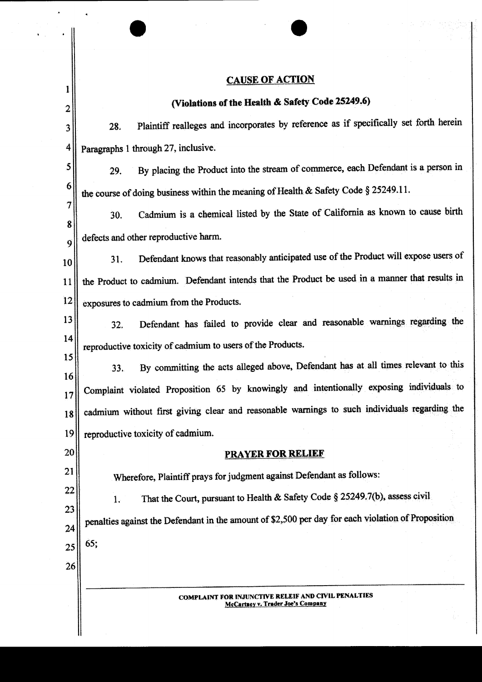## **CAUSE OF ACTION**

 $\bar{z}$ 

 $\bar{\boldsymbol{\lambda}}$ 

 $\bar{\mathbf{v}}$ 

 $\ddot{\phantom{a}}$ 

| 1                  | . <u>. .</u>                                                                                       |  |  |
|--------------------|----------------------------------------------------------------------------------------------------|--|--|
| $\overline{2}$     | (Violations of the Health & Safety Code 25249.6)                                                   |  |  |
| 3                  | Plaintiff realleges and incorporates by reference as if specifically set forth herein<br>28.       |  |  |
| 4                  | Paragraphs 1 through 27, inclusive.                                                                |  |  |
| 5                  | By placing the Product into the stream of commerce, each Defendant is a person in<br>29.           |  |  |
| 6                  | the course of doing business within the meaning of Health & Safety Code § 25249.11.                |  |  |
| $\tau$             | Cadmium is a chemical listed by the State of California as known to cause birth<br>30.             |  |  |
| 8                  | defects and other reproductive harm.                                                               |  |  |
| $\mathbf{q}$<br>10 | Defendant knows that reasonably anticipated use of the Product will expose users of<br>31.         |  |  |
| $\bar{1}1$         | the Product to cadmium. Defendant intends that the Product be used in a manner that results in     |  |  |
| 12                 | exposures to cadmium from the Products.                                                            |  |  |
| 13                 | Defendant has failed to provide clear and reasonable warnings regarding the<br>32.                 |  |  |
| 14                 | reproductive toxicity of cadmium to users of the Products.                                         |  |  |
| 15                 | By committing the acts alleged above, Defendant has at all times relevant to this<br>33.           |  |  |
| 16<br>17           | Complaint violated Proposition 65 by knowingly and intentionally exposing individuals to           |  |  |
| 18                 | cadmium without first giving clear and reasonable warnings to such individuals regarding the       |  |  |
| 19                 | reproductive toxicity of cadmium.                                                                  |  |  |
| 20                 | <b>PRAYER FOR RELIEF</b>                                                                           |  |  |
| 21                 | Wherefore, Plaintiff prays for judgment against Defendant as follows:                              |  |  |
| 22                 | That the Court, pursuant to Health & Safety Code § 25249.7(b), assess civil<br>1.                  |  |  |
| 23<br>24           | penalties against the Defendant in the amount of \$2,500 per day for each violation of Proposition |  |  |
| 25                 | 65;                                                                                                |  |  |
| 26                 |                                                                                                    |  |  |
|                    | <b>COMPLAINT FOR INJUNCTIVE RELEIF AND CIVIL PENALTIES</b><br>McCartney v. Trader Joe's Company    |  |  |
|                    |                                                                                                    |  |  |